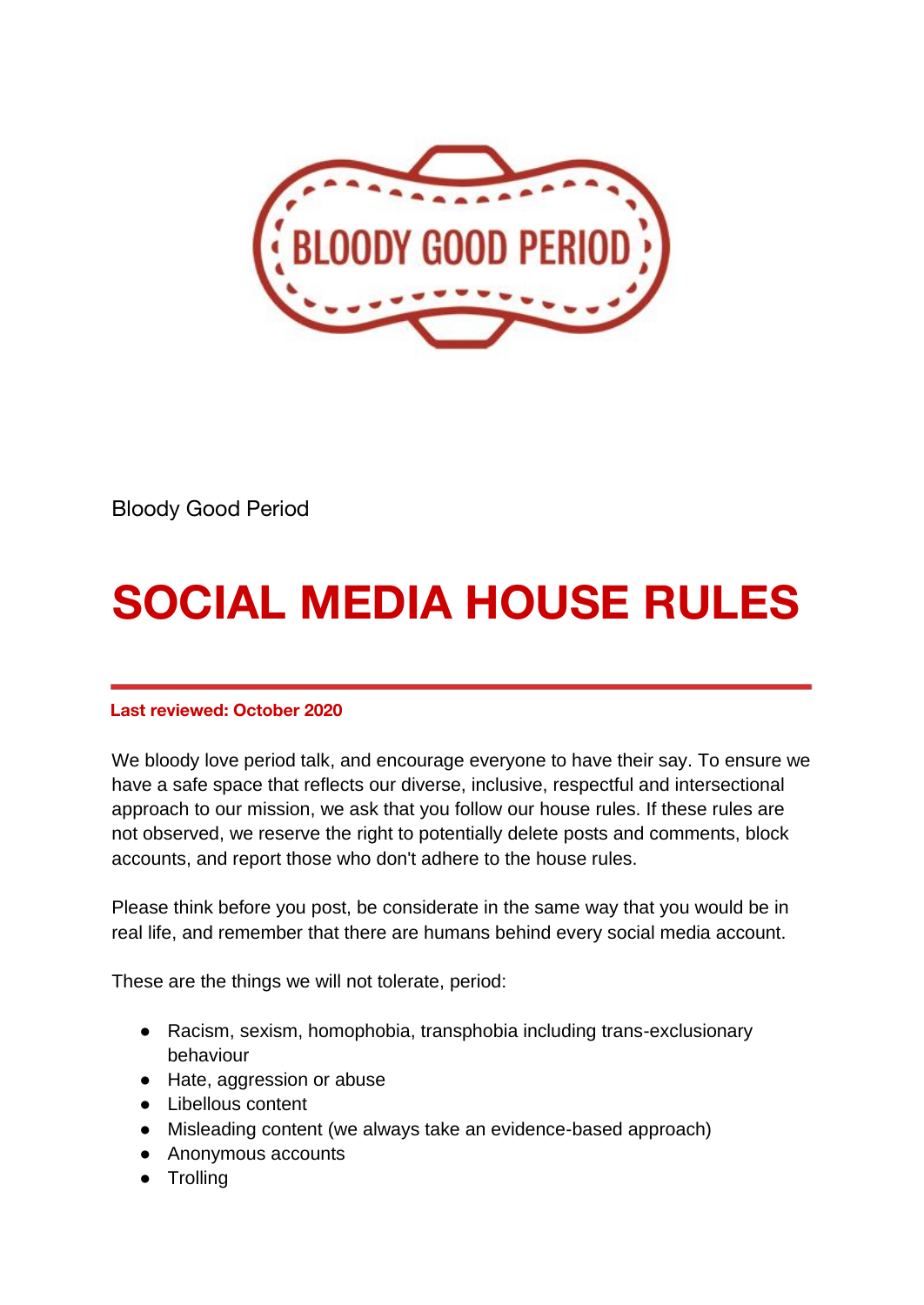

Bloody Good Period

## **SOCIAL MEDIA HOUSE RULES**

## **Last reviewed: October 2020**

We bloody love period talk, and encourage everyone to have their say. To ensure we have a safe space that reflects our diverse, inclusive, respectful and intersectional approach to our mission, we ask that you follow our house rules. If these rules are not observed, we reserve the right to potentially delete posts and comments, block accounts, and report those who don't adhere to the house rules.

Please think before you post, be considerate in the same way that you would be in real life, and remember that there are humans behind every social media account.

These are the things we will not tolerate, period:

- Racism, sexism, homophobia, transphobia including trans-exclusionary behaviour
- Hate, aggression or abuse
- Libellous content
- Misleading content (we always take an evidence-based approach)
- Anonymous accounts
- Trolling